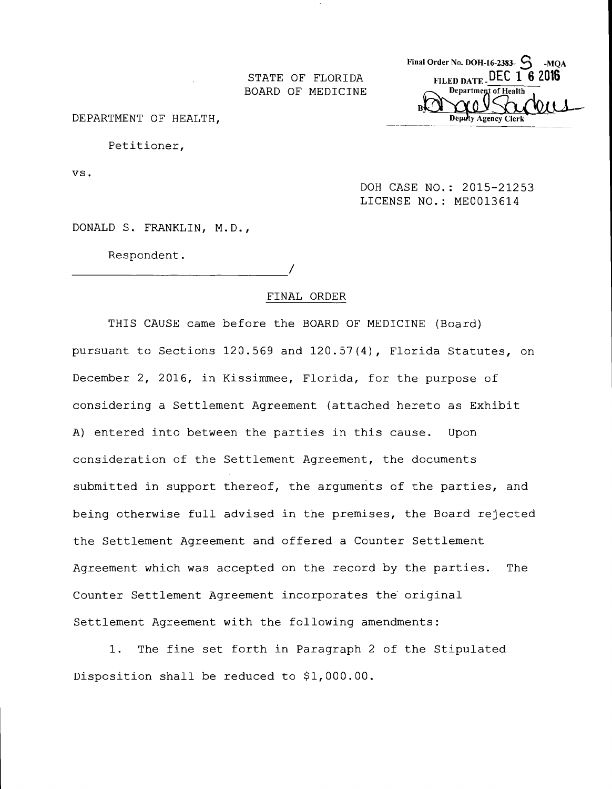BOARD OF MEDICINE

Final Order No. DOH-16-2383- $S_{\text{MQA}}$ STATE OF FLORIDA FILED DATE DEC 1 6 2016 Department of Health

DEPARTMENT OF HEALTH,

Petitioner,

VS.

DOH CASE NO.: 2015-21253 LICENSE NO.: ME0013614

DONALD S. FRANKLIN, M.D.,

Respondent.

#### FINAL ORDER

THIS CAUSE came before the BOARD OF MEDICINE (Board) pursuant to Sections 120.569 and 120.57(4), Florida Statutes, on December 2, 2016, in Kissimmee, Florida, for the purpose of considering a Settlement Agreement (attached hereto as Exhibit A) entered into between the parties in this cause. Upon consideration of the Settlement Agreement, the documents submitted in support thereof, the arguments of the parties, and being otherwise full advised in the premises, the Board rejected the Settlement Agreement and offered a Counter Settlement Agreement which was accepted on the record by the parties. The Counter Settlement Agreement incorporates the original Settlement Agreement with the following amendments:

1. The fine set forth in Paragraph 2 of the Stipulated Disposition shall be reduced to \$1,000.00.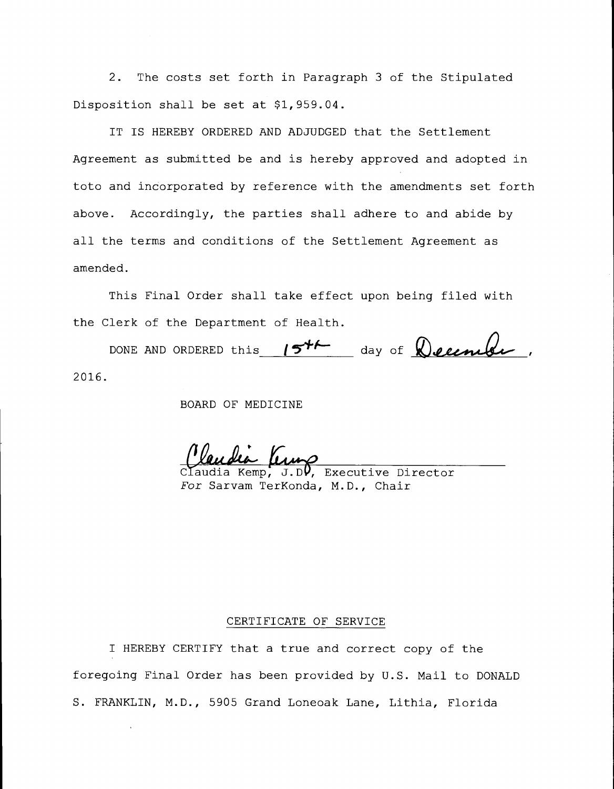2. The costs set forth in Paragraph 3 of the Stipulated Disposition shall be set at \$1,959.04.

IT IS HEREBY ORDERED AND ADJUDGED that the Settlement Agreement as submitted be and is hereby approved and adopted in toto and incorporated by reference with the amendments set forth above. Accordingly, the parties shall adhere to and abide by all the terms and conditions of the Settlement Agreement as amended.

This Final Order shall take effect upon being filed with the Clerk of the Department of Health.

DONE AND ORDERED this  $15^{++}$  day of  $\bigotimes$  elember, 2016.

BOARD OF MEDICINE

lia King Claudia Kemp, J.D. Executive Director

For Sarvam TerKonda, M.D., Chair

#### CERTIFICATE OF SERVICE

I HEREBY CERTIFY that a true and correct copy of the foregoing Final Order has been provided by U.S. Mail to DONALD S. FRANKLIN, M.D., 5905 Grand Loneoak Lane, Lithia, Florida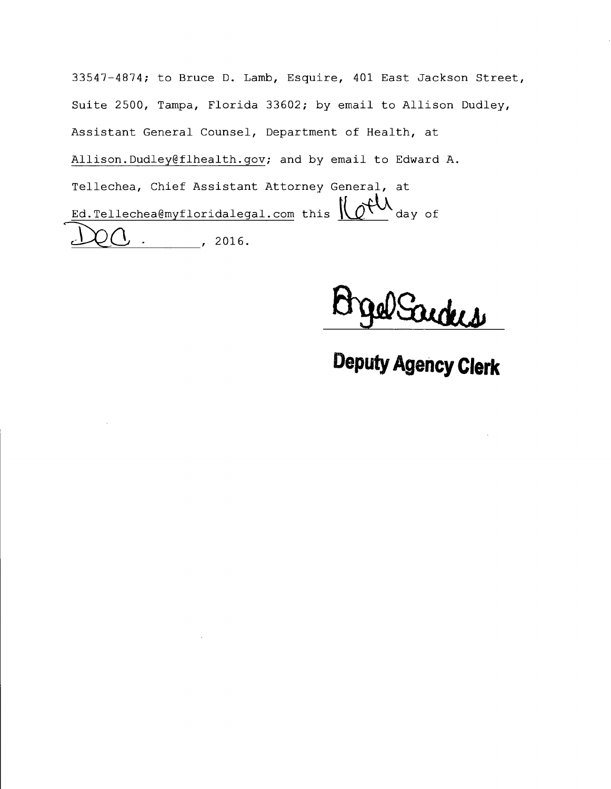33547-4874; to Bruce D. Lamb, Esquire, 401 East Jackson Street, Suite 2500, Tampa, Florida 33602; by email to Allison Dudley, Assistant General Counsel, Department of Health, at Allison.Dudley@flhealth.gov; and by email to Edward A. Tellechea, Chief Assistant Attorney General, at  $Ed. Tellec headmyfloridalegal.com this$   $\bigcup_{\text{day of}}$ , 2016.

Sarders

**Deputy Agency Clerk**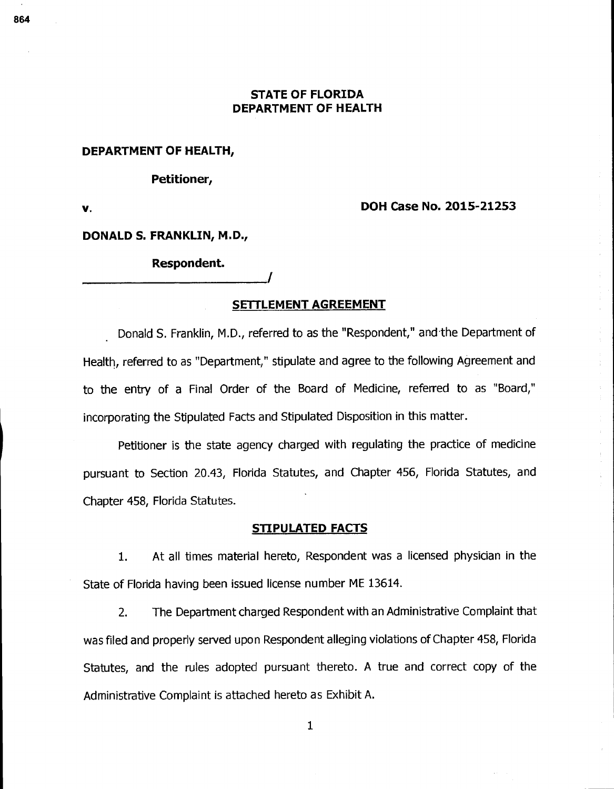### **STATE OF FLORIDA DEPARTMENT OF HEALTH**

#### **DEPARTMENT OF HEALTH,**

#### **Petitioner,**

### **v. DOH Case No. 2015-21253**

#### **DONALD S. FRANKLIN, M.D.,**

### **Respondent.**

#### **SETTLEMENT AGREEMENT**

Donald S. Franklin, M.D., referred to as the "Respondent," and the Department of Health, referred to as "Department," stipulate and agree to the following Agreement and to the entry of a Final Order of the Board of Medicine, referred to as "Board," incorporating the Stipulated Facts and Stipulated Disposition in this matter.

Petitioner is the state agency charged with regulating the practice of medicine pursuant to Section 20.43, Florida Statutes, and Chapter 456, Florida Statutes, and Chapter 458, Florida Statutes.

### **STIPULATED FACTS**

1. At all times material hereto, Respondent was a licensed physician in the State of Florida having been issued license number ME 13614.

2. The Department charged Respondent with an Administrative Complaint that was filed and properly served upon Respondent alleging violations of Chapter 458, Florida Statutes, and the rules adopted pursuant thereto. A true and correct copy of the Administrative Complaint is attached hereto as Exhibit A.

 $\mathbf{1}$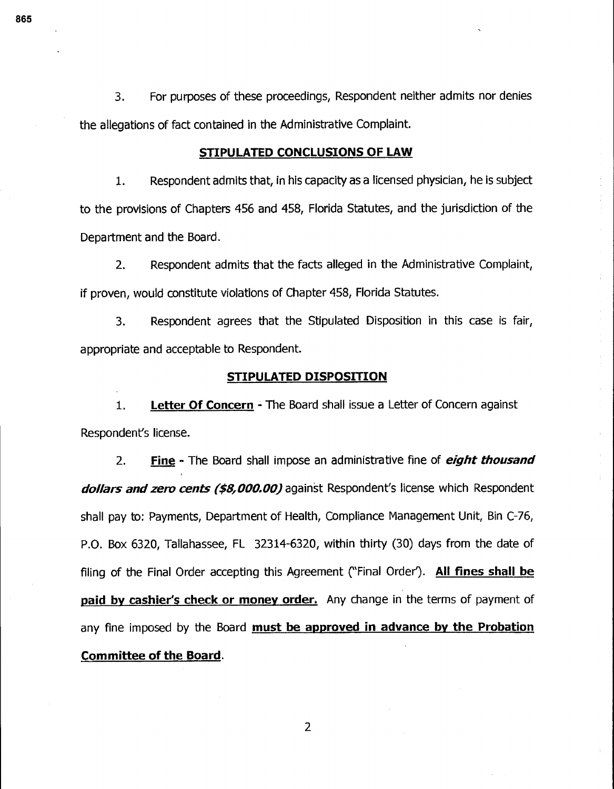3. For purposes of these proceedings, Respondent neither admits nor denies the allegations of fact contained in the Administrative Complaint.

#### **STIPULATED CONCLUSIONS OF LAW**

1. Respondent admits that, in his capacity as a licensed physician, he is subject to the provisions of Chapters 456 and 458, Florida Statutes, and the jurisdiction of the Department and the Board.

2. Respondent admits that the facts alleged in the Administrative Complaint, if proven, would constitute violations of Chapter 458, Florida Statutes.

3. Respondent agrees that the Stipulated Disposition in this case is fair, appropriate and acceptable to Respondent.

#### **STIPULATED DISPOSITION**

**1. Letter Of Concern -** The Board shall issue a Letter of Concern against Respondent's license.

**2. Fine -** The Board shall impose an administrative fine of **eight thousand dollars and zero cents (\$8,000.00)** against Respondent's license which Respondent shall pay to: Payments, Department of Health, Compliance Management Unit, Bin C-76, P.O. Box 6320, Tallahassee, FL 32314-6320, within thirty (30) days from the date of filing of the Final Order accepting this Agreement ("Final Order'). **All fines shall be paid by cashier's check or money order.** Any change in the terms of payment of any fine imposed by the Board **must be approved in advance by the Probation Committee of the Board.** 

 $\overline{2}$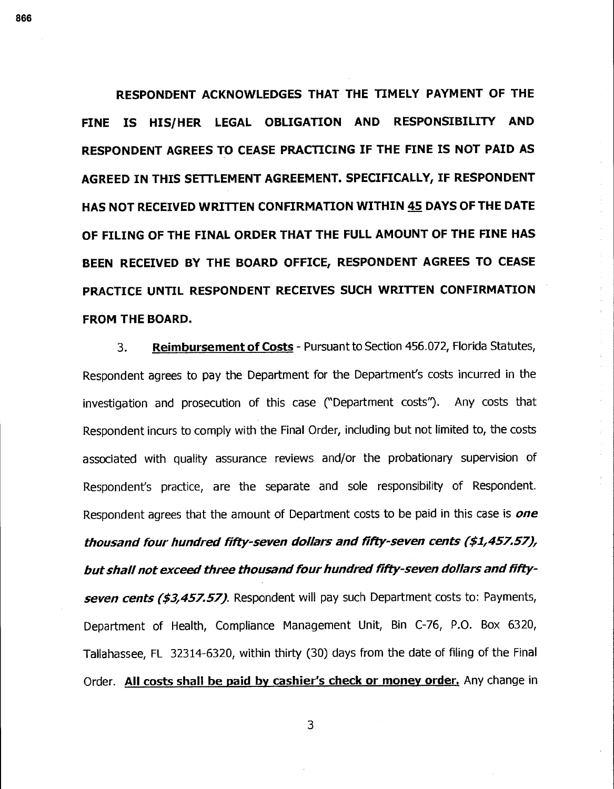**RESPONDENT ACKNOWLEDGES THAT THE TIMELY PAYMENT OF THE FINE IS HIS/HER LEGAL OBLIGATION AND RESPONSIBILITY AND RESPONDENT AGREES TO CEASE PRACTICING IF THE FINE IS NOT PAID AS AGREED IN THIS SETTLEMENT AGREEMENT. SPECIFICALLY, IF RESPONDENT HAS NOT RECEIVED WRITTEN CONFIRMATION WITHIN 45 DAYS OF THE DATE OF FILING OF THE FINAL ORDER THAT THE FULL AMOUNT OF THE FINE HAS BEEN RECEIVED BY THE BOARD OFFICE, RESPONDENT AGREES TO CEASE PRACTICE UNTIL RESPONDENT RECEIVES SUCH WRITTEN CONFIRMATION FROM THE BOARD.** 

 $\hat{\mathbf{r}}$ 

3. **Reimbursement of Costs-** Pursuant to Section 456.072, Florida Statutes, Respondent agrees to pay the Department for the Department's costs incurred in the investigation and prosecution of this case (`Department costs"). Any costs that Respondent incurs to comply with the Final Order, including but not limited to, the costs associated with quality assurance reviews and/or the probationary supervision of Respondent's practice, are the separate and sole responsibility of Respondent. Respondent agrees that the amount of Department costs to be paid in this case is **one thousand four hundred fifty-seven dollars and fifty-seven cents (\$1,457.57), but shall not exceed three thousand four hundred fifty-seven dollars and fifty**seven cents (\$3,457.57). Respondent will pay such Department costs to: Payments, Department of Health, Compliance Management Unit, Bin C-76, P.O. Box 6320, Tallahassee, FL 32314-6320, within thirty (30) days from the date of filing of the Final Order. All **costs shall be paid by cashier's check or money order,** Any change in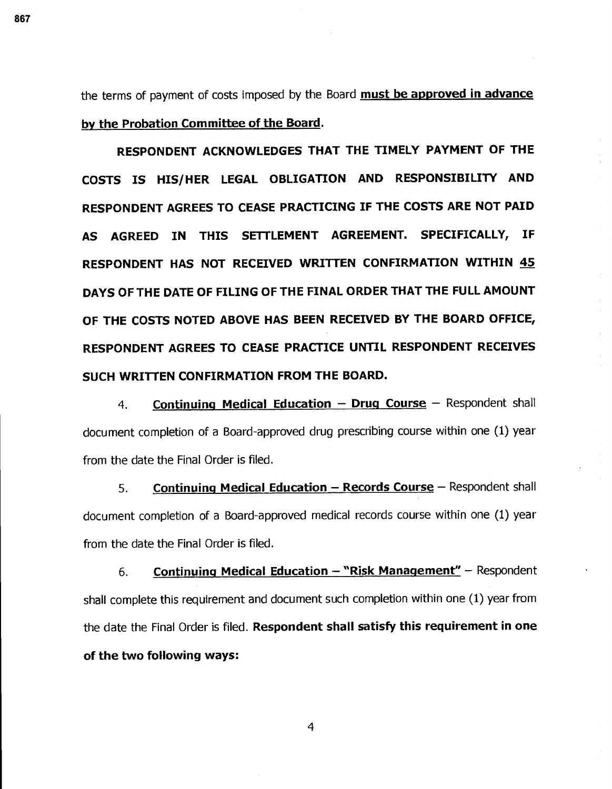the terms of payment of costs imposed by the Board **must be approved in advance by the Probation Committee of the Board.** 

**RESPONDENT ACKNOWLEDGES THAT THE TIMELY PAYMENT OF THE COSTS IS HIS/HER LEGAL OBLIGATION AND RESPONSIBILITY AND RESPONDENT AGREES TO CEASE PRACTICING IF THE COSTS ARE NOT PAID AS AGREED IN THIS SETTLEMENT AGREEMENT. SPECIFICALLY, IF RESPONDENT HAS NOT RECEIVED WRITTEN CONFIRMATION WITHIN 45 DAYS OF THE DATE OF FILING OF THE FINAL ORDER THAT THE FULL AMOUNT OF THE COSTS NOTED ABOVE HAS BEEN RECEIVED BY THE BOARD OFFICE, RESPONDENT AGREES TO CEASE PRACTICE UNTIL RESPONDENT RECEIVES SUCH WRITTEN CONFIRMATION FROM THE BOARD.** 

**4. Continuing Medical Education — Drug Course —** Respondent shall document completion of a Board-approved drug prescribing course within one (1) year from the date the Final Order is filed.

**5. Continuing Medical Education – Records Course** – Respondent shall document completion of a Board-approved medical records course within one (1) year from the date the Final Order is filed.

**6. Continuing Medical Education — "Risk Management" —** Respondent shall complete this requirement and document such completion within one (1) year from the date the Final Order is filed. **Respondent shall satisfy this requirement in one of the two following ways:**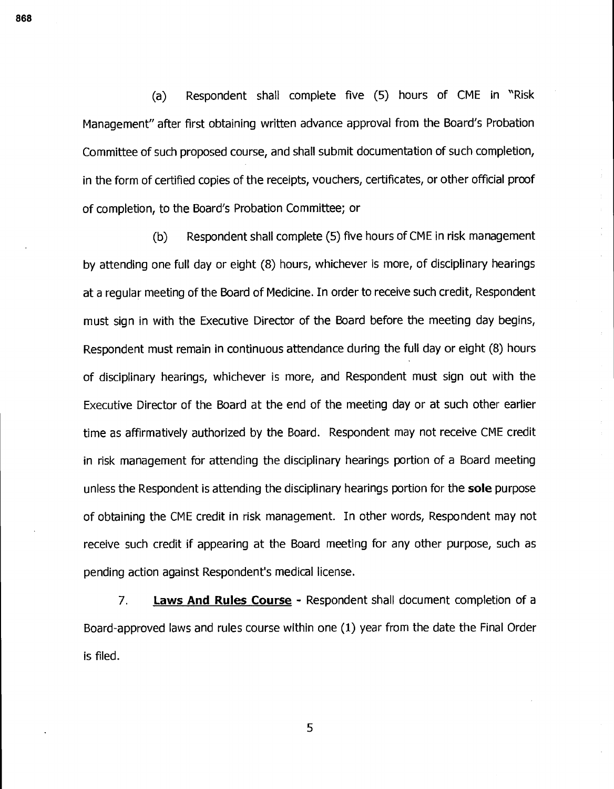(a) Respondent shall complete five (5) hours of CME in "Risk Management" after first obtaining written advance approval from the Board's Probation Committee of such proposed course, and shall submit documentation of such completion, in the form of certified copies of the receipts, vouchers, certificates, or other official proof of completion, to the Board's Probation Committee; or

(b) Respondent shall complete (5) five hours of CME in risk management by attending one full day or eight (8) hours, whichever is more, of disciplinary hearings at a regular meeting of the Board of Medicine. In order to receive such credit, Respondent must sign in with the Executive Director of the Board before the meeting day begins, Respondent must remain in continuous attendance during the full day or eight (8) hours of disciplinary hearings, whichever is more, and Respondent must sign out with the Executive Director of the Board at the end of the meeting day or at such other earlier time as affirmatively authorized by the Board. Respondent may not receive CME credit in risk management for attending the disciplinary hearings portion of a Board meeting unless the Respondent is attending the disciplinary hearings portion for the **sole** purpose of obtaining the CME credit in risk management. In other words, Respondent may not receive such credit if appearing at the Board meeting for any other purpose, such as pending action against Respondent's medical license.

7. **Laws And Rules Course -** Respondent shall document completion of a Board-approved laws and rules course within one (1) year from the date the Final Order is filed.

5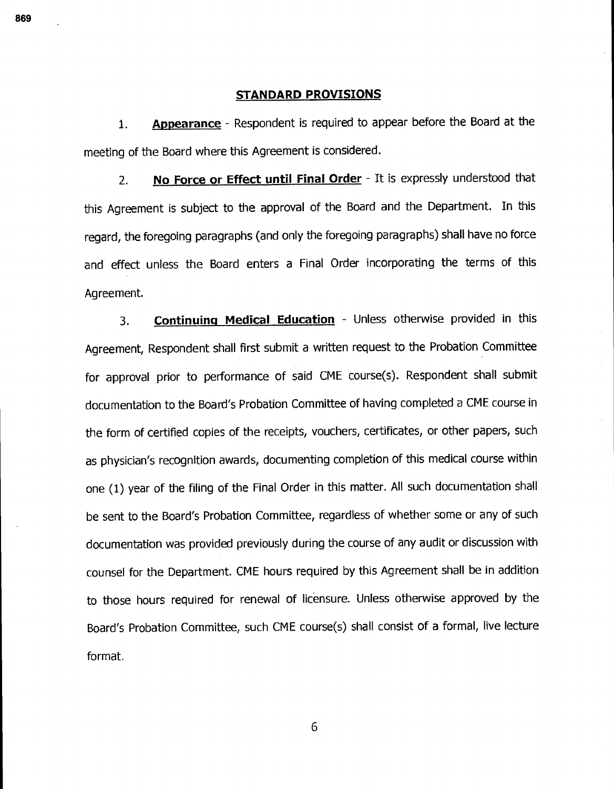#### **STANDARD PROVISIONS**

**1. Appearance-** Respondent is required to appear before the Board at the meeting of the Board where this Agreement is considered.

**2. No Force or Effect until Final Order-** It is expressly understood that this Agreement is subject to the approval of the Board and the Department. In this regard, the foregoing paragraphs (and only the foregoing paragraphs) shall have no force and effect unless the Board enters a Final Order incorporating the terms of this Agreement.

**3. Continuing Medical Education-** Unless otherwise provided in this Agreement, Respondent shall first submit a written request to the Probation Committee for approval prior to performance of said CME course(s). Respondent shall submit documentation to the Board's Probation Committee of having completed a CME course in the form of certified copies of the receipts, vouchers, certificates, or other papers, such as physician's recognition awards, documenting completion of this medical course within one (1) year of the filing of the Final Order in this matter. All such documentation shall be sent to the Board's Probation Committee, regardless of whether some or any of such documentation was provided previously during the course of any audit or discussion with counsel for the Department. CME hours required by this Agreement shall be in addition to those hours required for renewal of lic'ensure. Unless otherwise approved by the Board's Probation Committee, such CME course(s) shall consist of a formal, live lecture format.

6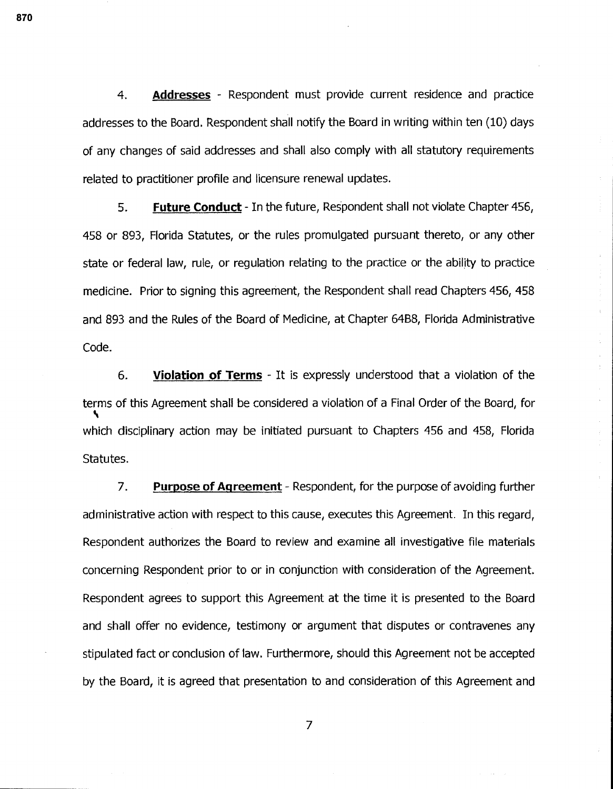**4. Addresses -** Respondent must provide current residence and practice addresses to the Board. Respondent shall notify the Board in writing within ten (10) days of any changes of said addresses and shall also comply with all statutory requirements related to practitioner profile and licensure renewal updates.

**5. Future Conduct -** In the future, Respondent shall not violate Chapter 456, 458 or 893, Florida Statutes, or the rules promulgated pursuant thereto, or any other state or federal law, rule, or regulation relating to the practice or the ability to practice medicine. Prior to signing this agreement, the Respondent shall read Chapters 456, 458 and 893 and the Rules of the Board of Medicine, at Chapter 64B8, Florida Administrative Code.

**6. Violation of Terms -** It is expressly understood that a violation of the terms of this Agreement shall be considered a violation of a Final Order of the Board, for ti which disciplinary action may be initiated pursuant to Chapters 456 and 458, Florida Statutes.

**7. Purpose of Agreement -** Respondent, for the purpose of avoiding further administrative action with respect to this cause, executes this Agreement. In this regard, Respondent authorizes the Board to review and examine all investigative file materials concerning Respondent prior to or in conjunction with consideration of the Agreement. Respondent agrees to support this Agreement at the time it is presented to the Board and shall offer no evidence, testimony or argument that disputes or contravenes any stipulated fact or conclusion of law. Furthermore, should this Agreement not be accepted by the Board, it is agreed that presentation to and consideration of this Agreement and

**870** 

 $\overline{7}$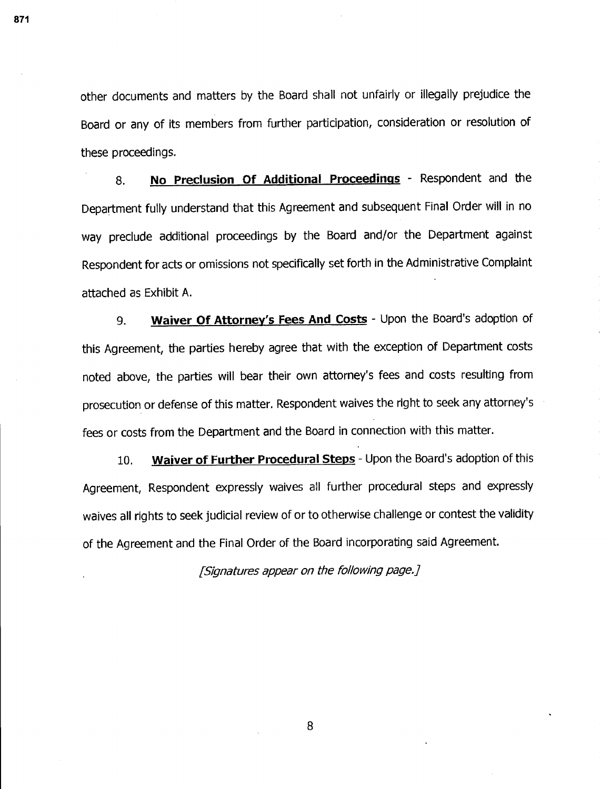other documents and matters by the Board shall not unfairly or illegally prejudice the Board or any of its members from further participation, consideration or resolution of these proceedings.

**8. No Preclusion Of Additional Proceedings-** Respondent and the Department fully understand that this Agreement and subsequent Final Order will in no way preclude additional proceedings by the Board and/or the Department against Respondent for acts or omissions not specifically set forth in the Administrative Complaint attached as Exhibit A.

**9. Waiver Of Attorney's Fees And Costs-** Upon the Board's adoption of this Agreement, the parties hereby agree that with the exception of Department costs noted above, the parties will bear their own attorney's fees and costs resulting from prosecution or defense of this matter. Respondent waives the right to seek any attorney's fees or costs from the Department and the Board in connection with this matter.

**10. Waiver of Further Procedural Steps-** Upon the Board's adoption of this Agreement, Respondent expressly waives all further procedural steps and expressly waives all rights to seek judicial review of or to otherwise challenge or contest the validity of the Agreement and the Final Order of the Board incorporating said Agreement.

[Signatures appear on the following page.]

**871**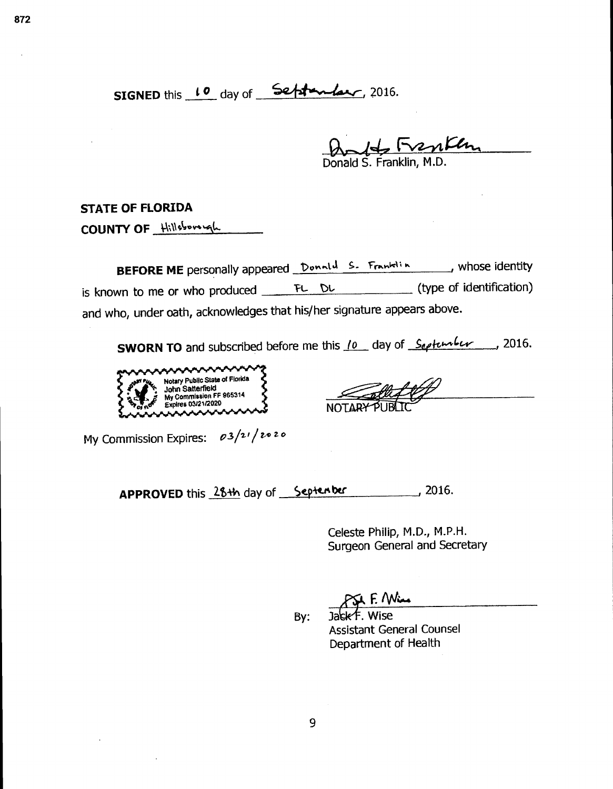H Frenken Donald S. Franklin, M.D.

**STATE OF FLORIDA** 

**COUNTY OF 'it;Ilsts.v-b4.** 

**BEFORE ME** personally appeared **Donald S. Franklin**, whose identity is known to me or who produced  $F_L$   $D_L$  (type of identification) and who, under oath, acknowledges that his/her signature appears above.

**SWORN TO** and subscribed before me this <u>10</u> day of September 12016.



**NOTAR** 

My Commission Expires:  $\rho 3/2/20$  zo zo

APPROVED this 28th day of Septenber , 2016.

Celeste Philip, M.D., M.P.H. Surgeon General and Secretary

PSA F. Win

By: Jack F. Wise Assistant General Counsel Department of Health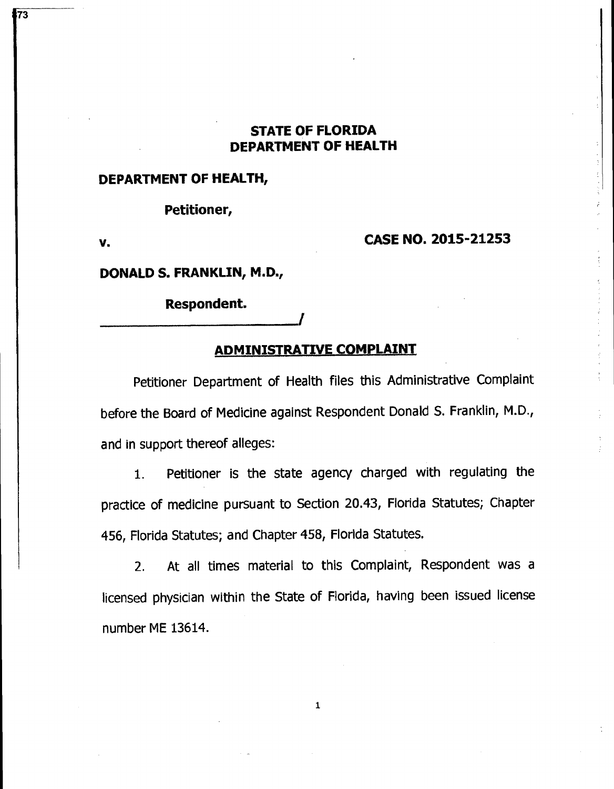## **STATE OF FLORIDA DEPARTMENT OF HEALTH**

## **DEPARTMENT OF HEALTH,**

**Petitioner,** 

1<sup>73</sup>

## **v. CASE NO. 2015-21253**

**DONALD S. FRANKLIN, M.D.,** 

**Respondent.** 

## **ADMINISTRATIVE COMPLAINT**

I

Petitioner Department of Health files this Administrative Complaint before the Board of Medicine against Respondent Donald S. Franklin, M.D., and in support thereof alleges:

1. Petitioner is the state agency charged with regulating the practice of medicine pursuant to Section 20.43, Florida Statutes; Chapter 456, Florida Statutes; and Chapter 458, Florida Statutes.

2. At all times material to this Complaint, Respondent was a licensed physician within the State of Florida, having been issued license number ME 13614.

 $\mathbf{1}$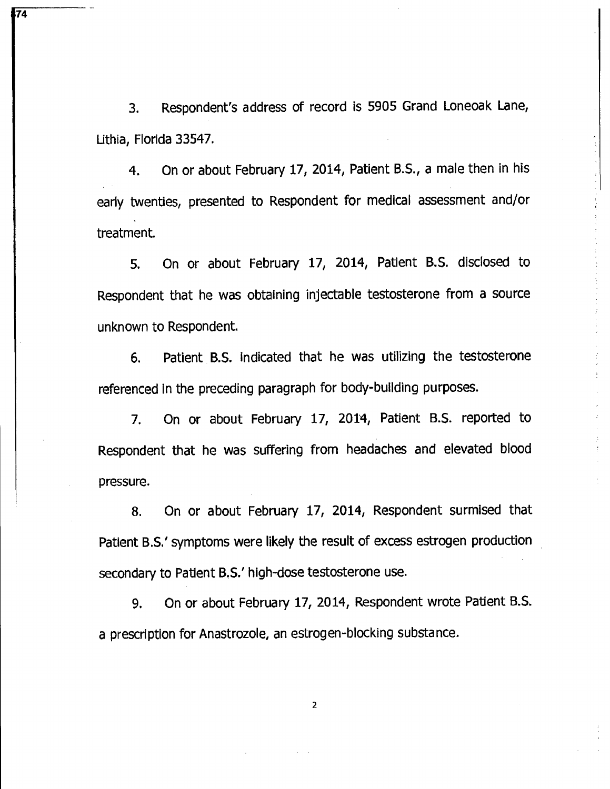3. Respondent's address of record is 5905 Grand Loneoak Lane, Lithia, Florida 33547.

**74** 

4. On or about February 17, 2014, Patient B.S., a male then in his early twenties, presented to Respondent for medical assessment and/or treatment.

5. On or about February 17, 2014, Patient B.S. disclosed to Respondent that he was obtaining injectable testosterone from a source unknown to Respondent.

6. Patient B.S. indicated that he was utilizing the testosterone referenced in the preceding paragraph for body-building purposes.

7. On or about February 17, 2014, Patient B.S. reported to Respondent that he was suffering from headaches and elevated blood pressure.

8. On or about February 17, 2014, Respondent surmised that Patient B.S.' symptoms were likely the result of excess estrogen production secondary to Patient B.S.' high-dose testosterone use.

9. On or about February 17, 2014, Respondent wrote Patient B.S. a prescription for Anastrozole, an estrogen-blocking substance.

 $\overline{2}$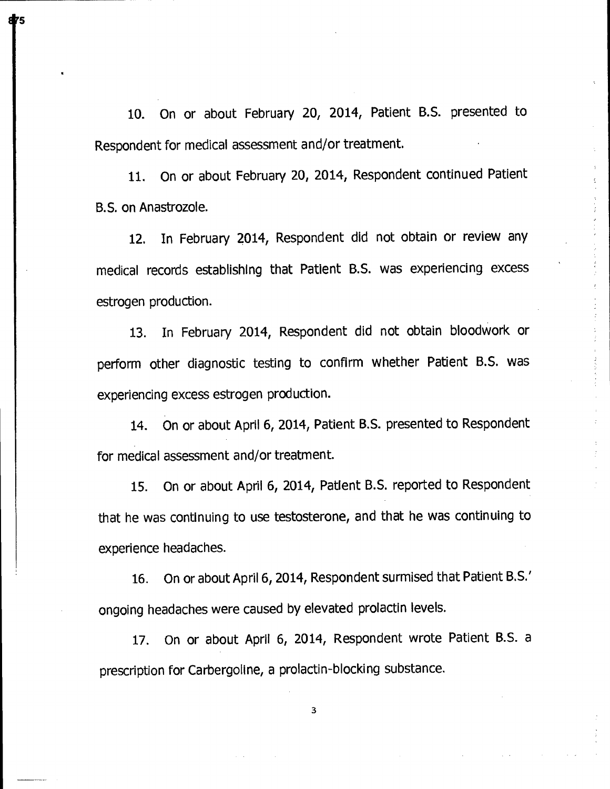10. On or about February 20, 2014, Patient B.S. presented to Respondent for medical assessment and/or treatment.

11. On or about February 20, 2014, Respondent continued Patient B.S. on Anastrozole.

12. In February 2014, Respondent did not obtain or review any medical records establishing that Patient B.S. was experiencing excess estrogen production.

13. In February 2014, Respondent did not obtain bloodwork or perform other diagnostic testing to confirm whether Patient B.S. was experiencing excess estrogen production.

14. On or about April 6, 2014, Patient B.S. presented to Respondent for medical assessment and/or treatment.

15. On or about April 6, 2014, Patient B.S. reported to Respondent that he was continuing to use testosterone, and that he was continuing to experience headaches.

16. On or about April 6, 2014, Respondent surmised that Patient B.S.' ongoing headaches were caused by elevated prolactin levels.

17. On or about April 6, 2014, Respondent wrote Patient B.S. a prescription for Carbergoline, a prolactin-blocking substance.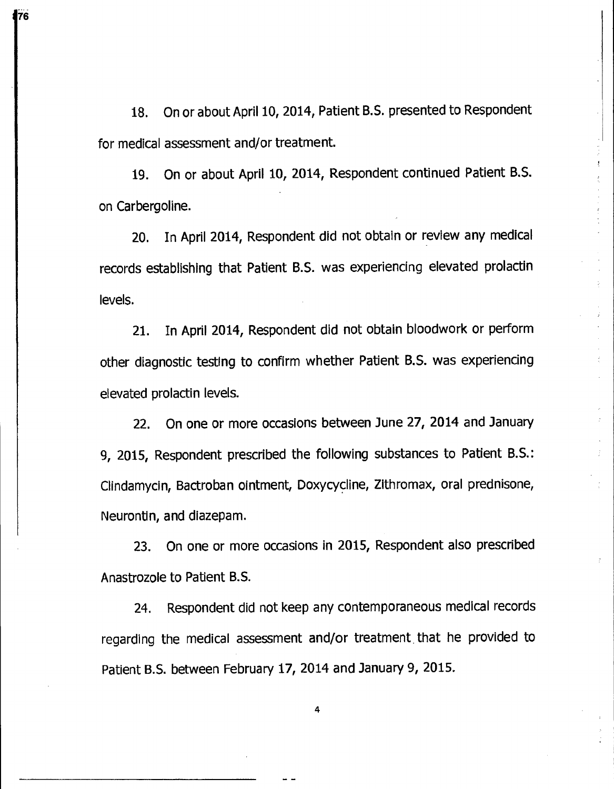18. On or about April 10, 2014, Patient B.S. presented to Respondent for medical assessment and/or treatment.

**976** 

19. On or about April 10, 2014, Respondent continued Patient B.S. on Carbergoline.

20. In April 2014, Respondent did not obtain or review any medical records establishing that Patient B.S. was experiencing elevated prolactin levels.

21. In April 2014, Respondent did not obtain bloodwork or perform other diagnostic testing to confirm whether Patient B.S. was experiencing elevated prolactin levels.

22. On one or more occasions between June 27, 2014 and January 9, 2015, Respondent prescribed the following substances to Patient B.S.: Clindamycin, Bactroban ointment, Doxycycline, Zithromax, oral prednisone, Neurontin, and diazepam.

23. On one or more occasions in 2015, Respondent also prescribed Anastrozole to Patient B.S.

24. Respondent did not keep any contemporaneous medical records regarding the medical assessment and/or treatment that he provided to Patient B.S. between February 17, 2014 and January 9, 2015.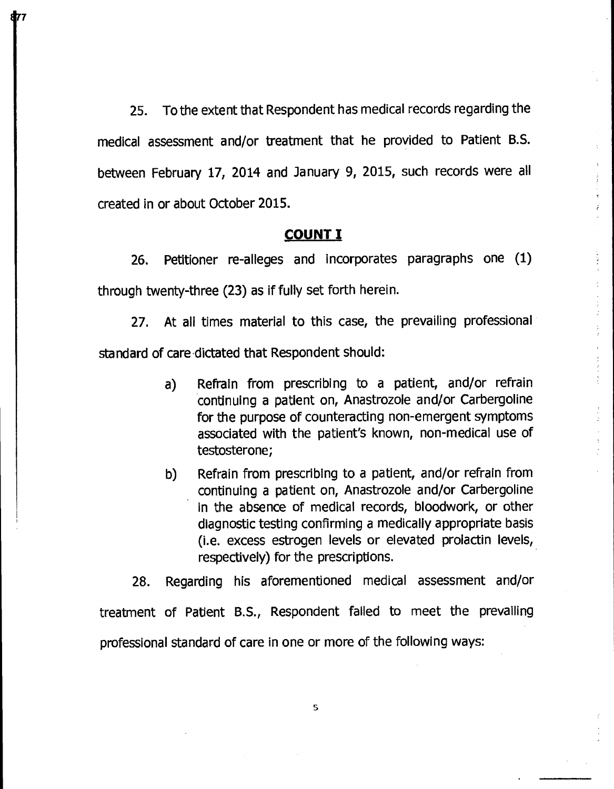25. To the extent that Respondent has medical records regarding the medical assessment and/or treatment that he provided to Patient B.S. between February 17, 2014 and January 9, 2015, such records were all created in or about October 2015.

## **COUNT I**

26. Petitioner re-alleges and incorporates paragraphs one (1) through twenty-three (23) as if fully set forth herein.

27. At all times material to this case, the prevailing professional standard of care-dictated that Respondent should:

- a) Refrain from prescribing to a patient, and/or refrain continuing a patient on, Anastrozole and/or Carbergoline for the purpose of counteracting non-emergent symptoms associated with the patient's known, non-medical use of testosterone;
- b) Refrain from prescribing to a patient, and/or refrain from continuing a patient on, Anastrozole and/or Carbergoline in the absence of medical records, bloodwork, or other diagnostic testing confirming a medically appropriate basis (i.e. excess estrogen levels or elevated prolactin levels, respectively) for the prescriptions.

28. Regarding his aforementioned medical assessment and/or treatment of Patient B.S., Respondent failed to meet the prevailing professional standard of care in one or more of the following ways:

 $\mathbb{S}$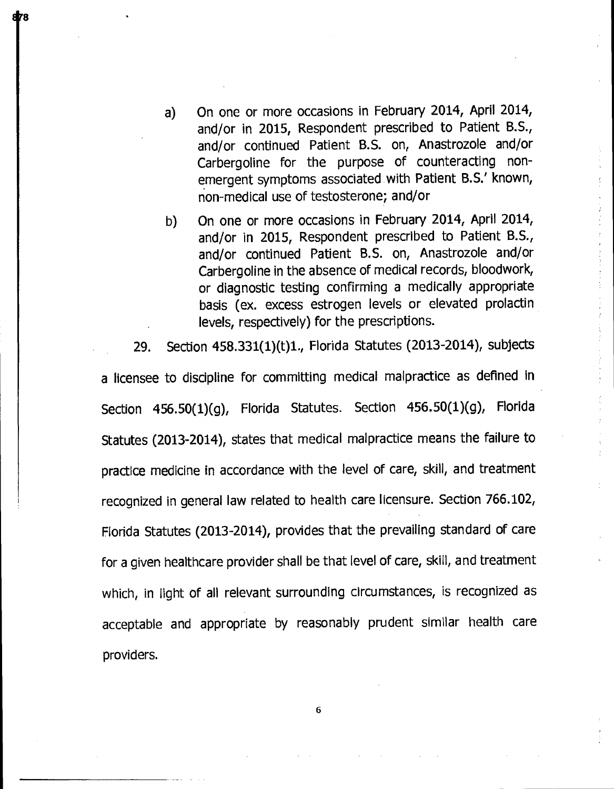- a) On one or more occasions in February 2014, April 2014, and/or in 2015, Respondent prescribed to Patient B.S., and/or continued Patient B.S. on, Anastrozole and/or Carbergoline for the purpose of counteracting nonemergent symptoms associated with Patient B.S.' known, non-medical use of testosterone; and/or
- b) On one or more occasions in February **2014,** April 2014, and/or in 2015, Respondent prescribed to Patient B.S., and/or continued Patient B.S. on, Anastrozole and/or Carbergoline in the absence of medical records, bloodwork, or diagnostic testing confirming a medically appropriate basis (ex. excess estrogen levels or elevated prolactin levels, respectively) for the prescriptions.

29. Section 458.331(1)(t)1., Florida Statutes (2013-2014), subjects

a licensee to discipline for committing medical malpractice as defined in Section 456.50(1)(g), Florida Statutes. Section 456.50(1)(g), Florida Statutes (2013-2014), states that medical malpractice means the failure to practice medicine in accordance with the level of care, skill, and treatment recognized in general law related to health care licensure. Section 766.102, Florida Statutes (2013-2014), provides that the prevailing standard of care for a given healthcare provider shall be that level of care, skill, and treatment which, in light of all relevant surrounding circumstances, is recognized as acceptable and appropriate by reasonably prudent similar health care providers.

6

Æя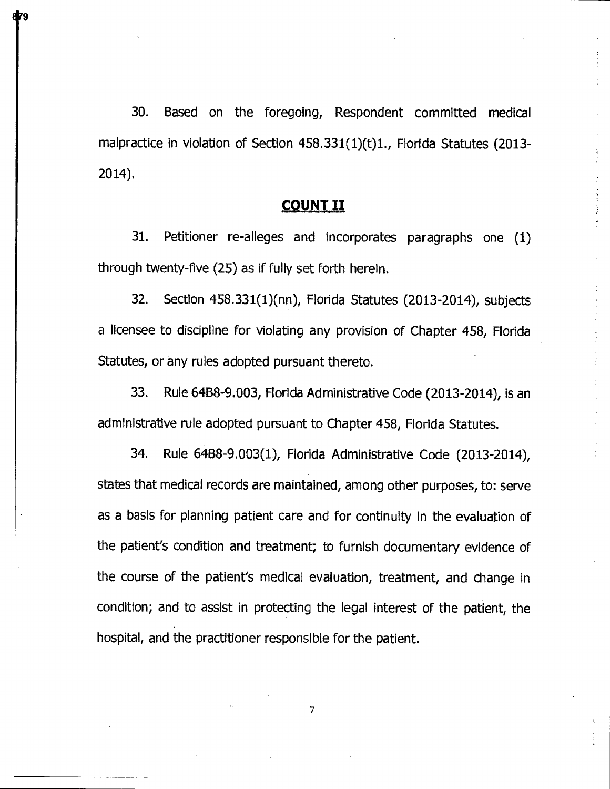30. Based on the foregoing, Respondent committed medical malpractice in violation of Section 458.331(1)(t)1., Florida Statutes (2013- 2014).

## **COUNT II**

31. Petitioner re-alleges and incorporates paragraphs one (1) through twenty-five (25) as if fully set forth herein.

32. Section 458.331(1)(nn), Florida Statutes (2013-2014), subjects a licensee to discipline for violating any provision of Chapter 458, Florida Statutes, or any rules adopted pursuant thereto.

33. Rule 64B8-9.003, Florida Administrative Code (2013-2014), is an administrative rule adopted pursuant to Chapter 458, Florida Statutes.

34. Rule 64B8-9.003(1), Florida Administrative Code (2013-2014), states that medical records are maintained, among other purposes, to: serve as a basis for planning patient care and for continuity in the evaluation of the patient's condition and treatment; to furnish documentary evidence of the course of the patient's medical evaluation, treatment, and change in condition; and to assist in protecting the legal interest of the patient, the hospital, and the practitioner responsible for the patient.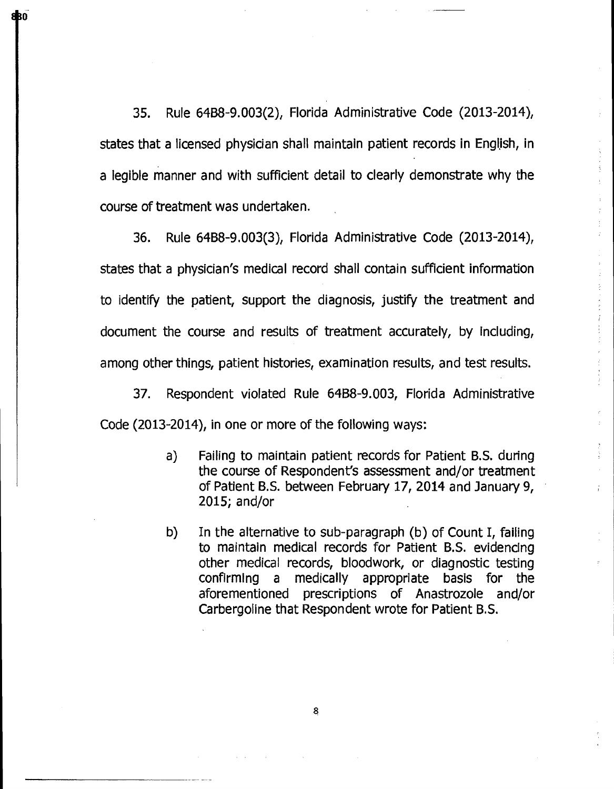35. Rule 6488-9.003(2), Florida Administrative Code (2013-2014), states that a licensed physician shall maintain patient records in English, in a legible manner and with sufficient detail to clearly demonstrate why the course of treatment was undertaken.

abo<sup>r</sup>

36. Rule 64B8-9.003(3), Florida Administrative Code (2013-2014), states that a physician's medical record shall contain sufficient information to identify the patient, support the diagnosis, justify the treatment and document the course and results of treatment accurately, by including, among other things, patient histories, examination results, and test results.

37. Respondent violated Rule 6488-9.003, Florida Administrative Code (2013-2014), in one or more of the following ways:

- a) Failing to maintain patient records for Patient B.S. during the course of Respondent's assessment and/or treatment of Patient B.S. between February 17, 2014 and January 9, 2015; and/or
- b) In the alternative to sub-paragraph (b) of Count I, failing to maintain medical records for Patient B.S. evidencing other medical records, bloodwork, or diagnostic testing confirming a medically appropriate basis for the aforementioned prescriptions of Anastrozole and/or Carbergoline that Respondent wrote for Patient B.S.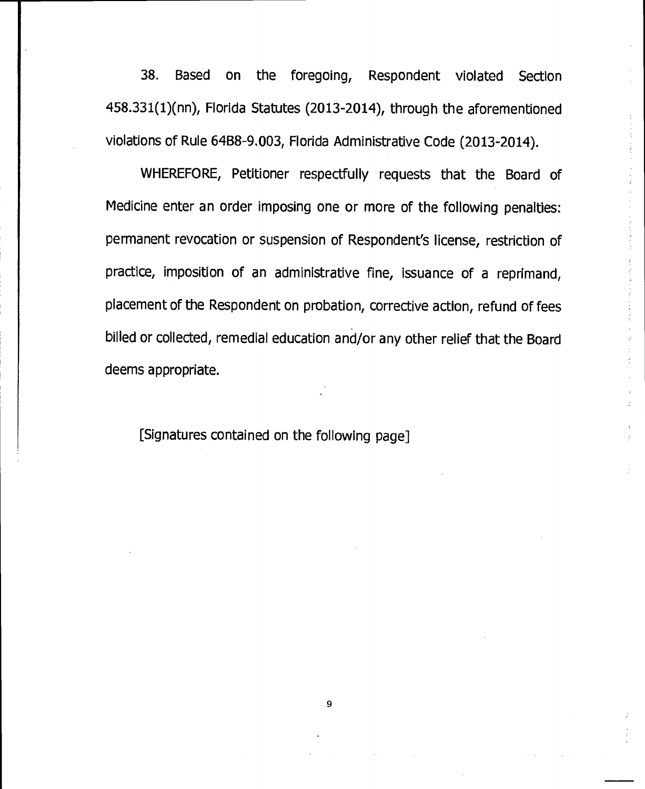38. Based on the foregoing, Respondent violated Section 458.331(1)(nn), Florida Statutes (2013-2014), through the aforementioned violations of Rule 64B8-9.003, Florida Administrative Code (2013-2014).

WHEREFORE, Petitioner respectfully requests that the Board of Medicine enter an order imposing one or more of the following penalties: permanent revocation or suspension of Respondent's license, restriction of practice, imposition of an administrative fine, issuance of a reprimand, placement of the Respondent on probation, corrective action, refund of fees billed or collected, remedial education and/or any other relief that the Board deems appropriate.

[Signatures contained on the following page]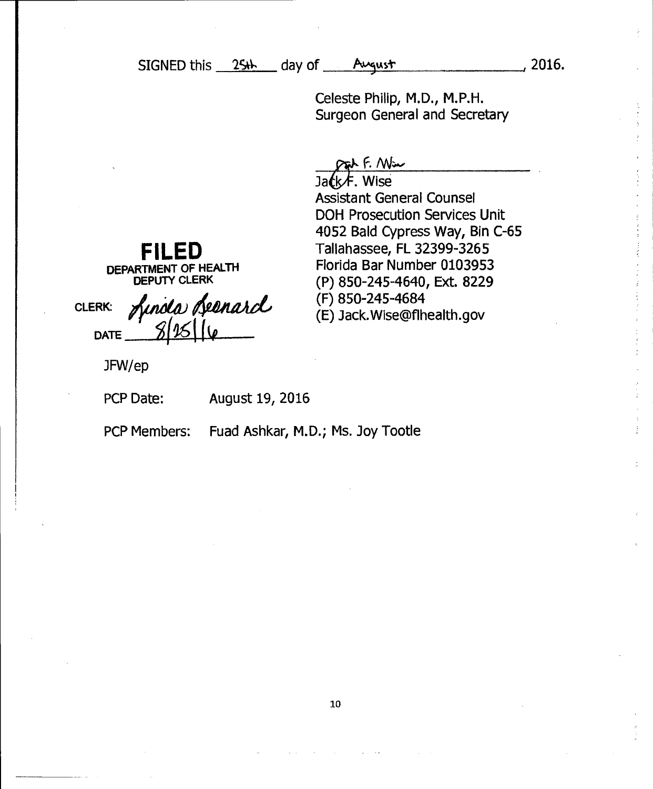$SISNED this  $254$  day of *Pugustr*$ 

Celeste Philip, M.D., M.P.H. Surgeon General and Secretary

Out F. Win

Ja*t*k乍. Wise Assistant General Counsel DOH Prosecution Services Unit 4052 Bald Cypress Way, Bin C-65 Tallahassee, FL 32399-3265 Florida Bar Number 0103953 (P) 850-245-4640, Ext. 8229 (F) 850-245-4684 (E) Jack.Wise@flhealth.gov

**FILED DEPARTMENT OF HEALTH DEPUTY CLERK** 

ofaitaild,  $8/15/16$ **CLERK: DATE** 

JFW/ep

PCP Date: August 19, 2016

PCP Members: Fuad Ashkar, M.D.; Ms. Joy Tootle